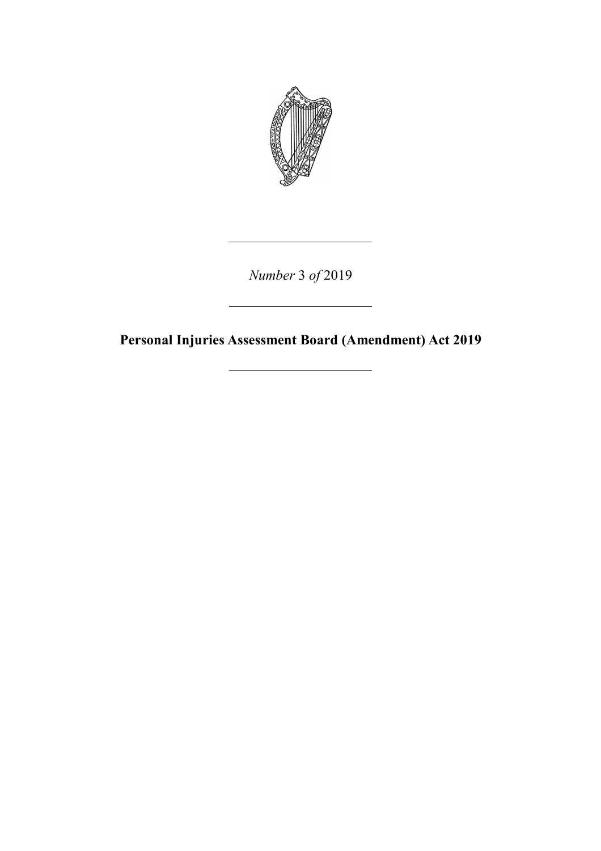

*Number* 3 *of* 2019

**Personal Injuries Assessment Board (Amendment) Act 2019**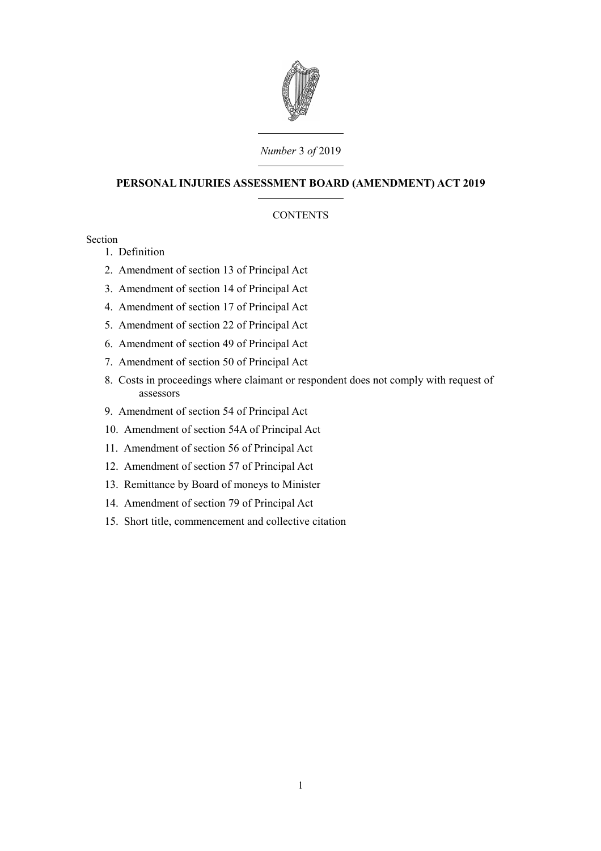

### *Number* 3 *of* 2019

### **PERSONAL INJURIES ASSESSMENT BOARD (AMENDMENT) ACT 2019**

### **CONTENTS**

### Section

- 1. [Definition](#page-4-0)
- 2. [Amendment of section 13 of Principal Act](#page-4-1)
- 3. [Amendment of section 14 of Principal Act](#page-5-2)
- 4. [Amendment of section 17 of Principal Act](#page-5-1)
- 5. [Amendment of section 22 of Principal Act](#page-5-0)
- 6. [Amendment of section 49 of Principal Act](#page-6-2)
- 7. [Amendment of section 50 of Principal Act](#page-6-1)
- 8. [Costs in proceedings where claimant or respondent does not comply with request of](#page-6-0) [assessors](#page-6-0)
- 9. [Amendment of section 54 of Principal Act](#page-8-2)
- 10. [Amendment of section 54A of Principal Act](#page-8-1)
- 11. [Amendment of section 56 of Principal Act](#page-8-0)
- 12. [Amendment of section 57 of Principal Act](#page-9-1)
- 13. [Remittance by Board of moneys to Minister](#page-9-0)
- 14. [Amendment of section 79 of Principal Act](#page-10-1)
- 15. [Short title, commencement and collective citation](#page-10-0)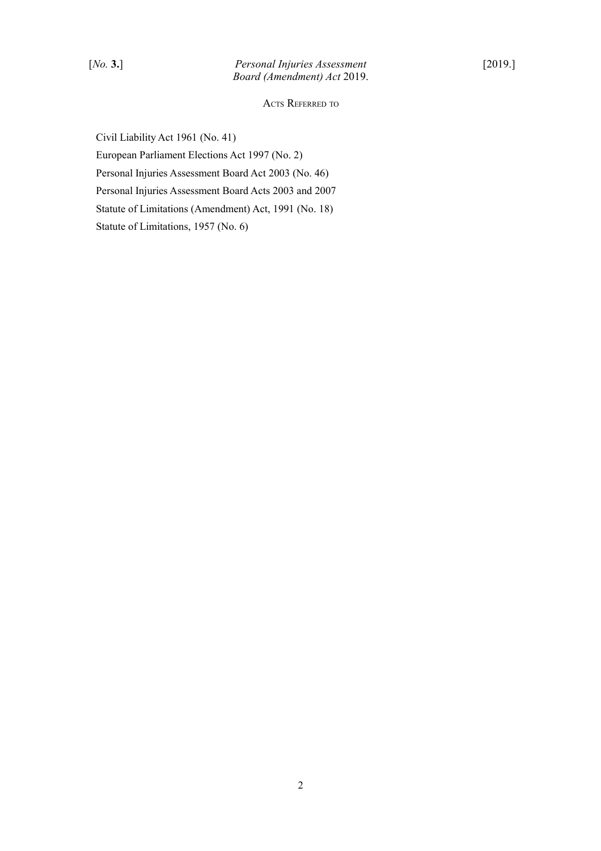ACTS REFERRED TO

Civil Liability Act 1961 (No. 41) European Parliament Elections Act 1997 (No. 2) Personal Injuries Assessment Board Act 2003 (No. 46) Personal Injuries Assessment Board Acts 2003 and 2007 Statute of Limitations (Amendment) Act, 1991 (No. 18) Statute of Limitations, 1957 (No. 6)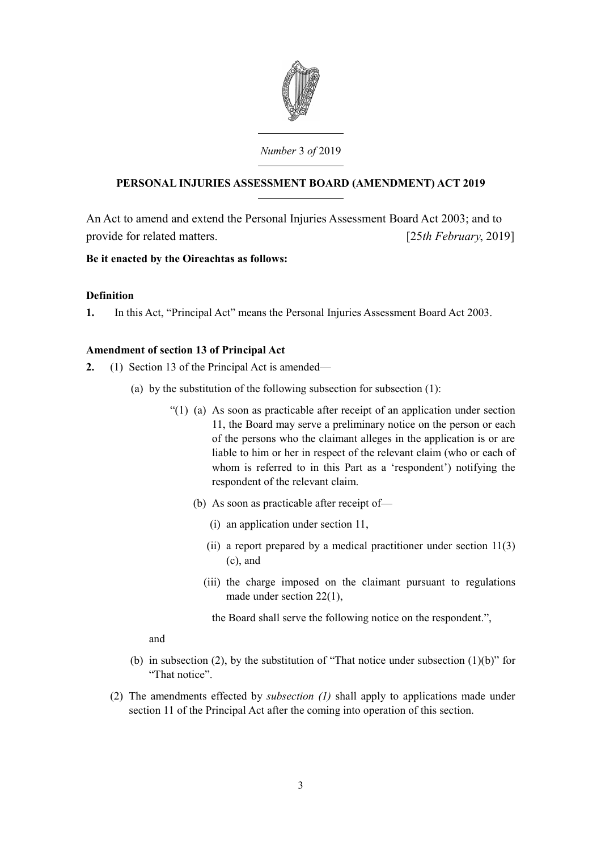

# **PERSONAL INJURIES ASSESSMENT BOARD (AMENDMENT) ACT 2019**

An Act to amend and extend the Personal Injuries Assessment Board Act 2003; and to provide for related matters. [25*th February*, 2019]

## **Be it enacted by the Oireachtas as follows:**

## <span id="page-4-0"></span>**Definition**

**1.** In this Act, "Principal Act" means the Personal Injuries Assessment Board Act 2003.

## <span id="page-4-1"></span>**Amendment of section 13 of Principal Act**

- **2.** (1) Section 13 of the Principal Act is amended—
	- (a) by the substitution of the following subsection for subsection (1):
		- "(1) (a) As soon as practicable after receipt of an application under section 11, the Board may serve a preliminary notice on the person or each of the persons who the claimant alleges in the application is or are liable to him or her in respect of the relevant claim (who or each of whom is referred to in this Part as a 'respondent') notifying the respondent of the relevant claim.
			- (b) As soon as practicable after receipt of—
				- (i) an application under section 11,
				- (ii) a report prepared by a medical practitioner under section  $11(3)$ (c), and
				- (iii) the charge imposed on the claimant pursuant to regulations made under section 22(1),
					- the Board shall serve the following notice on the respondent.",

### and

- (b) in subsection (2), by the substitution of "That notice under subsection  $(1)(b)$ " for "That notice".
- (2) The amendments effected by *subsection (1)* shall apply to applications made under section 11 of the Principal Act after the coming into operation of this section.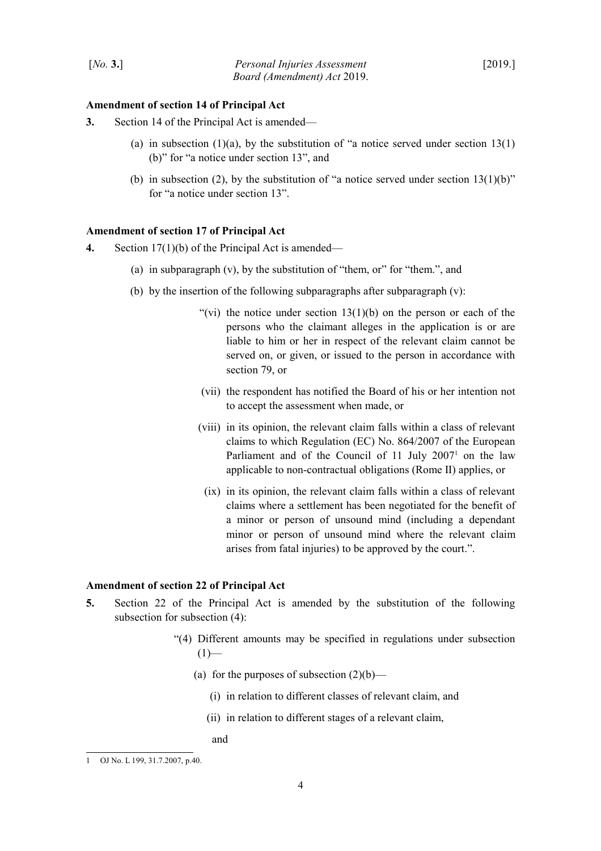#### <span id="page-5-2"></span>**Amendment of section 14 of Principal Act**

- **3.** Section 14 of the Principal Act is amended—
	- (a) in subsection  $(1)(a)$ , by the substitution of "a notice served under section 13(1) (b)" for "a notice under section 13", and
	- (b) in subsection (2), by the substitution of "a notice served under section  $13(1)(b)$ " for "a notice under section 13".

#### <span id="page-5-1"></span>**Amendment of section 17 of Principal Act**

- **4.** Section 17(1)(b) of the Principal Act is amended—
	- (a) in subparagraph (v), by the substitution of "them, or" for "them.", and
	- (b) by the insertion of the following subparagraphs after subparagraph  $(v)$ :
		- "(vi) the notice under section  $13(1)(b)$  on the person or each of the persons who the claimant alleges in the application is or are liable to him or her in respect of the relevant claim cannot be served on, or given, or issued to the person in accordance with section 79, or
		- (vii) the respondent has notified the Board of his or her intention not to accept the assessment when made, or
		- (viii) in its opinion, the relevant claim falls within a class of relevant claims to which Regulation (EC) No. 864/2007 of the European Parliament and of the Council of  $11$  $11$  July  $2007<sup>1</sup>$  on the law applicable to non-contractual obligations (Rome II) applies, or
			- (ix) in its opinion, the relevant claim falls within a class of relevant claims where a settlement has been negotiated for the benefit of a minor or person of unsound mind (including a dependant minor or person of unsound mind where the relevant claim arises from fatal injuries) to be approved by the court.".

#### <span id="page-5-0"></span>**Amendment of section 22 of Principal Act**

- **5.** Section 22 of the Principal Act is amended by the substitution of the following subsection for subsection (4):
	- "(4) Different amounts may be specified in regulations under subsection  $(1)$ —
		- (a) for the purposes of subsection  $(2)(b)$ 
			- (i) in relation to different classes of relevant claim, and
			- (ii) in relation to different stages of a relevant claim,

and

<span id="page-5-3"></span><sup>1</sup> OJ No. L 199, 31.7.2007, p.40.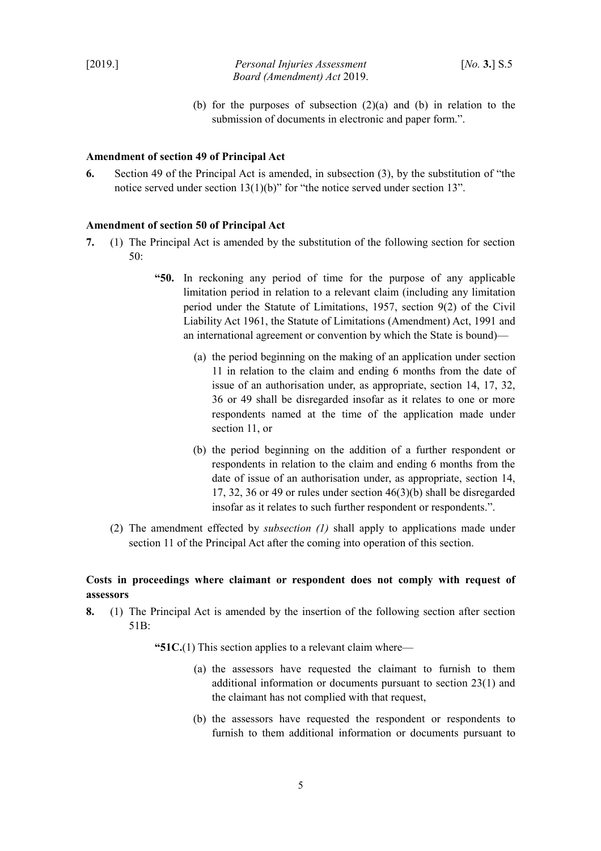(b) for the purposes of subsection  $(2)(a)$  and  $(b)$  in relation to the submission of documents in electronic and paper form.".

### <span id="page-6-2"></span>**Amendment of section 49 of Principal Act**

**6.** Section 49 of the Principal Act is amended, in subsection (3), by the substitution of "the notice served under section 13(1)(b)" for "the notice served under section 13".

### <span id="page-6-1"></span>**Amendment of section 50 of Principal Act**

- **7.** (1) The Principal Act is amended by the substitution of the following section for section 50:
	- **"50.** In reckoning any period of time for the purpose of any applicable limitation period in relation to a relevant claim (including any limitation period under the Statute of Limitations, 1957, section 9(2) of the Civil Liability Act 1961, the Statute of Limitations (Amendment) Act, 1991 and an international agreement or convention by which the State is bound)—
		- (a) the period beginning on the making of an application under section 11 in relation to the claim and ending 6 months from the date of issue of an authorisation under, as appropriate, section 14, 17, 32, 36 or 49 shall be disregarded insofar as it relates to one or more respondents named at the time of the application made under section 11, or
		- (b) the period beginning on the addition of a further respondent or respondents in relation to the claim and ending 6 months from the date of issue of an authorisation under, as appropriate, section 14, 17, 32, 36 or 49 or rules under section 46(3)(b) shall be disregarded insofar as it relates to such further respondent or respondents.".
	- (2) The amendment effected by *subsection (1)* shall apply to applications made under section 11 of the Principal Act after the coming into operation of this section.

## <span id="page-6-0"></span>**Costs in proceedings where claimant or respondent does not comply with request of assessors**

**8.** (1) The Principal Act is amended by the insertion of the following section after section 51B:

**"51C.**(1) This section applies to a relevant claim where—

- (a) the assessors have requested the claimant to furnish to them additional information or documents pursuant to section 23(1) and the claimant has not complied with that request,
- (b) the assessors have requested the respondent or respondents to furnish to them additional information or documents pursuant to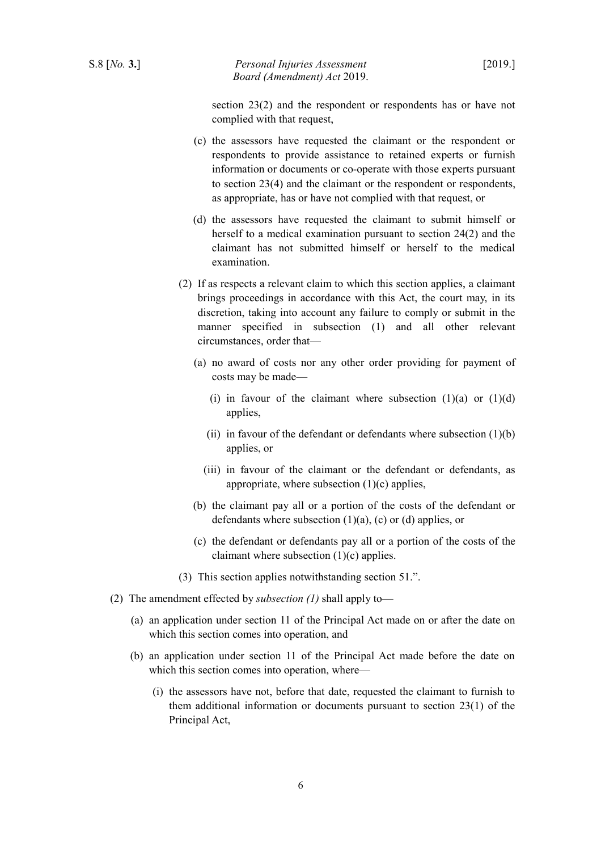section 23(2) and the respondent or respondents has or have not complied with that request,

- (c) the assessors have requested the claimant or the respondent or respondents to provide assistance to retained experts or furnish information or documents or co-operate with those experts pursuant to section 23(4) and the claimant or the respondent or respondents, as appropriate, has or have not complied with that request, or
- (d) the assessors have requested the claimant to submit himself or herself to a medical examination pursuant to section 24(2) and the claimant has not submitted himself or herself to the medical examination.
- (2) If as respects a relevant claim to which this section applies, a claimant brings proceedings in accordance with this Act, the court may, in its discretion, taking into account any failure to comply or submit in the manner specified in subsection (1) and all other relevant circumstances, order that—
	- (a) no award of costs nor any other order providing for payment of costs may be made—
		- (i) in favour of the claimant where subsection  $(1)(a)$  or  $(1)(d)$ applies,
		- (ii) in favour of the defendant or defendants where subsection  $(1)(b)$ applies, or
		- (iii) in favour of the claimant or the defendant or defendants, as appropriate, where subsection  $(1)(c)$  applies,
	- (b) the claimant pay all or a portion of the costs of the defendant or defendants where subsection  $(1)(a)$ ,  $(c)$  or  $(d)$  applies, or
	- (c) the defendant or defendants pay all or a portion of the costs of the claimant where subsection (1)(c) applies.
- (3) This section applies notwithstanding section 51.".
- (2) The amendment effected by *subsection (1)* shall apply to—
	- (a) an application under section 11 of the Principal Act made on or after the date on which this section comes into operation, and
	- (b) an application under section 11 of the Principal Act made before the date on which this section comes into operation, where—
		- (i) the assessors have not, before that date, requested the claimant to furnish to them additional information or documents pursuant to section 23(1) of the Principal Act,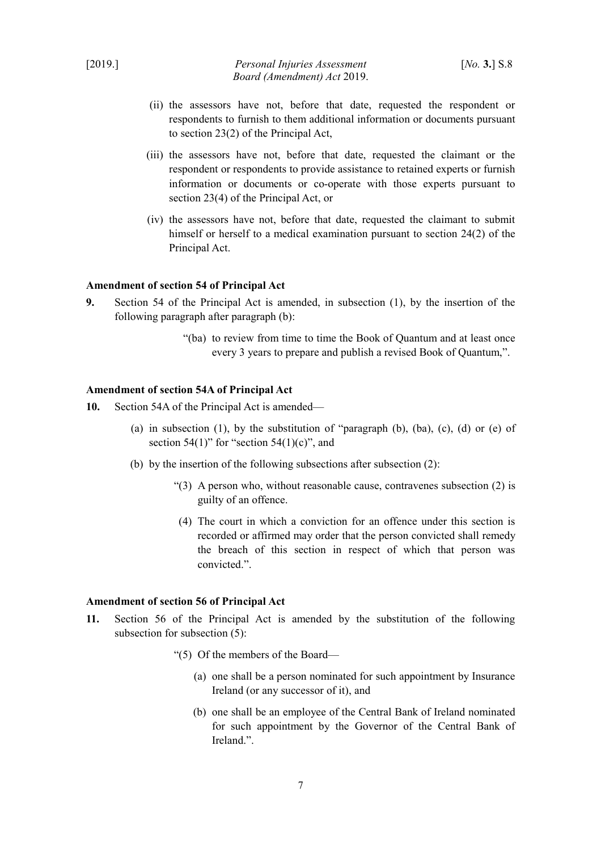- (ii) the assessors have not, before that date, requested the respondent or respondents to furnish to them additional information or documents pursuant to section 23(2) of the Principal Act,
- (iii) the assessors have not, before that date, requested the claimant or the respondent or respondents to provide assistance to retained experts or furnish information or documents or co-operate with those experts pursuant to section 23(4) of the Principal Act, or
- (iv) the assessors have not, before that date, requested the claimant to submit himself or herself to a medical examination pursuant to section 24(2) of the Principal Act.

#### <span id="page-8-2"></span>**Amendment of section 54 of Principal Act**

- **9.** Section 54 of the Principal Act is amended, in subsection (1), by the insertion of the following paragraph after paragraph (b):
	- "(ba) to review from time to time the Book of Quantum and at least once every 3 years to prepare and publish a revised Book of Quantum,".

#### <span id="page-8-1"></span>**Amendment of section 54A of Principal Act**

- **10.** Section 54A of the Principal Act is amended—
	- (a) in subsection (1), by the substitution of "paragraph  $(b)$ ,  $(ba)$ ,  $(c)$ ,  $(d)$  or  $(e)$  of section 54(1)" for "section 54(1)(c)", and
	- (b) by the insertion of the following subsections after subsection (2):
		- "(3) A person who, without reasonable cause, contravenes subsection (2) is guilty of an offence.
		- (4) The court in which a conviction for an offence under this section is recorded or affirmed may order that the person convicted shall remedy the breach of this section in respect of which that person was convicted.".

## <span id="page-8-0"></span>**Amendment of section 56 of Principal Act**

- **11.** Section 56 of the Principal Act is amended by the substitution of the following subsection for subsection (5):
	- "(5) Of the members of the Board—
		- (a) one shall be a person nominated for such appointment by Insurance Ireland (or any successor of it), and
		- (b) one shall be an employee of the Central Bank of Ireland nominated for such appointment by the Governor of the Central Bank of Ireland.".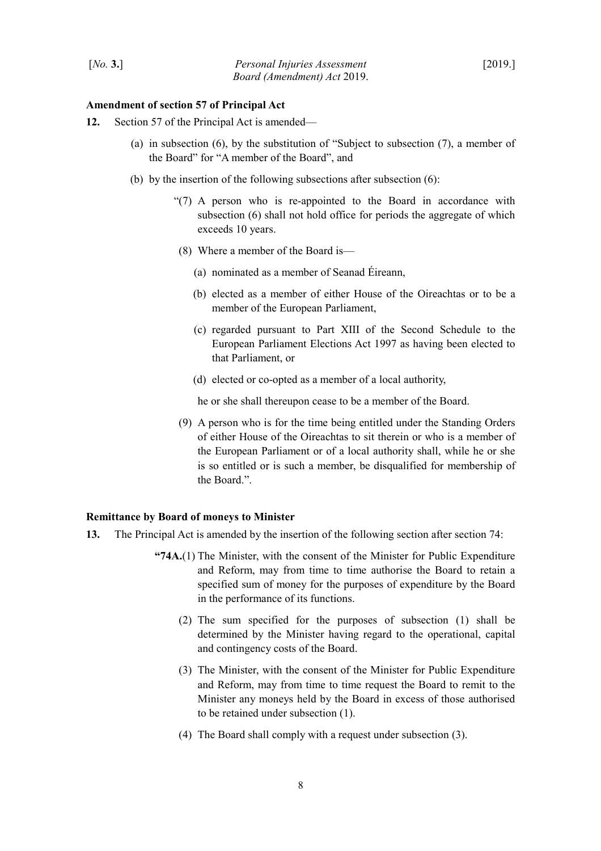#### <span id="page-9-1"></span>**Amendment of section 57 of Principal Act**

- **12.** Section 57 of the Principal Act is amended—
	- (a) in subsection (6), by the substitution of "Subject to subsection (7), a member of the Board" for "A member of the Board", and
	- (b) by the insertion of the following subsections after subsection  $(6)$ :
		- "(7) A person who is re-appointed to the Board in accordance with subsection (6) shall not hold office for periods the aggregate of which exceeds 10 years.
		- (8) Where a member of the Board is—
			- (a) nominated as a member of Seanad Éireann,
			- (b) elected as a member of either House of the Oireachtas or to be a member of the European Parliament,
			- (c) regarded pursuant to Part XIII of the Second Schedule to the European Parliament Elections Act 1997 as having been elected to that Parliament, or
			- (d) elected or co-opted as a member of a local authority,

he or she shall thereupon cease to be a member of the Board.

(9) A person who is for the time being entitled under the Standing Orders of either House of the Oireachtas to sit therein or who is a member of the European Parliament or of a local authority shall, while he or she is so entitled or is such a member, be disqualified for membership of the Board.".

#### <span id="page-9-0"></span>**Remittance by Board of moneys to Minister**

- **13.** The Principal Act is amended by the insertion of the following section after section 74:
	- **"74A.**(1) The Minister, with the consent of the Minister for Public Expenditure and Reform, may from time to time authorise the Board to retain a specified sum of money for the purposes of expenditure by the Board in the performance of its functions.
		- (2) The sum specified for the purposes of subsection (1) shall be determined by the Minister having regard to the operational, capital and contingency costs of the Board.
		- (3) The Minister, with the consent of the Minister for Public Expenditure and Reform, may from time to time request the Board to remit to the Minister any moneys held by the Board in excess of those authorised to be retained under subsection (1).
		- (4) The Board shall comply with a request under subsection (3).